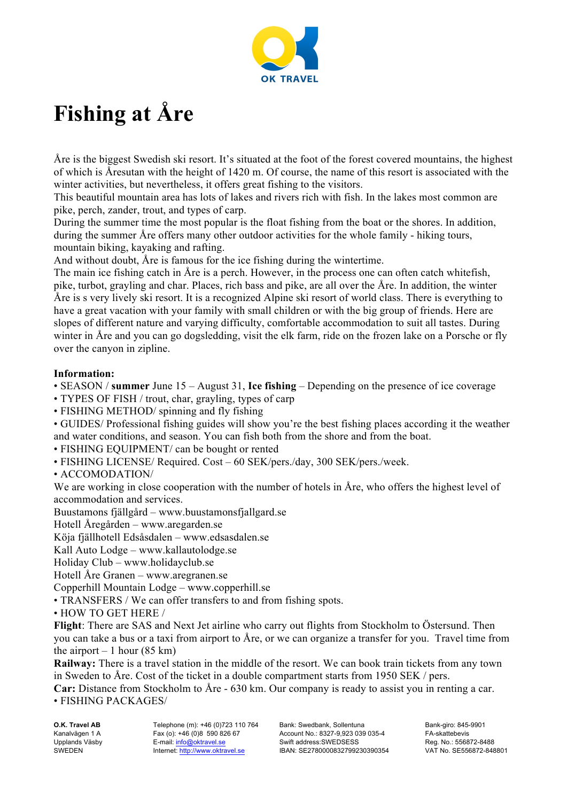

## **Fishing at Åre**

Åre is the biggest Swedish ski resort. It's situated at the foot of the forest covered mountains, the highest of which is Åresutan with the height of 1420 m. Of course, the name of this resort is associated with the winter activities, but nevertheless, it offers great fishing to the visitors.

This beautiful mountain area has lots of lakes and rivers rich with fish. In the lakes most common are pike, perch, zander, trout, and types of carp.

During the summer time the most popular is the float fishing from the boat or the shores. In addition, during the summer Åre offers many other outdoor activities for the whole family - hiking tours, mountain biking, kayaking and rafting.

And without doubt, Åre is famous for the ice fishing during the wintertime.

The main ice fishing catch in Åre is a perch. However, in the process one can often catch whitefish, pike, turbot, grayling and char. Places, rich bass and pike, are all over the Åre. In addition, the winter Åre is s very lively ski resort. It is a recognized Alpine ski resort of world class. There is everything to have a great vacation with your family with small children or with the big group of friends. Here are slopes of different nature and varying difficulty, comfortable accommodation to suit all tastes. During winter in Åre and you can go dogsledding, visit the elk farm, ride on the frozen lake on a Porsche or fly over the canyon in zipline.

## **Information:**

• SEASON / **summer** June 15 – August 31, **Ice fishing** – Depending on the presence of ice coverage

- TYPES OF FISH / trout, char, grayling, types of carp
- FISHING METHOD/ spinning and fly fishing

• GUIDES/ Professional fishing guides will show you're the best fishing places according it the weather and water conditions, and season. You can fish both from the shore and from the boat.

• FISHING EQUIPMENT/ can be bought or rented

- FISHING LICENSE/ Required. Cost 60 SEK/pers./day, 300 SEK/pers./week.
- ACCOMODATION/

We are working in close cooperation with the number of hotels in Åre, who offers the highest level of accommodation and services.

Buustamons fjällgård – www.buustamonsfjallgard.se

Hotell Åregården – www.aregarden.se

Köja fjällhotell Edsåsdalen – www.edsasdalen.se

Kall Auto Lodge – www.kallautolodge.se

Holiday Club – www.holidayclub.se

Hotell Åre Granen – www.aregranen.se

Copperhill Mountain Lodge – www.copperhill.se

• TRANSFERS / We can offer transfers to and from fishing spots.

• HOW TO GET HERE /

**Flight**: There are SAS and Next Jet airline who carry out flights from Stockholm to Östersund. Then you can take a bus or a taxi from airport to Åre, or we can organize a transfer for you. Travel time from the airport  $-1$  hour (85 km)

**Railway:** There is a travel station in the middle of the resort. We can book train tickets from any town in Sweden to Åre. Cost of the ticket in a double compartment starts from 1950 SEK / pers.

**Car:** Distance from Stockholm to Åre - 630 km. Our company is ready to assist you in renting a car. • FISHING PACKAGES/

**O.K. Travel AB** Kanalvägen 1 A Upplands Väsby SWEDEN

Telephone (m): +46 (0)723 110 764 Fax (o): +46 (0)8 590 826 67 E-mail: info@oktravel.se Internet: http://www.oktravel.se

Bank: Swedbank, Sollentuna Account No.: 8327-9,923 039 035-4 Swift address:SWEDSESS IBAN: SE2780000832799230390354 Bank-giro: 845-9901 FA-skattebevis Reg. No.: 556872-8488 VAT No. SE556872-848801